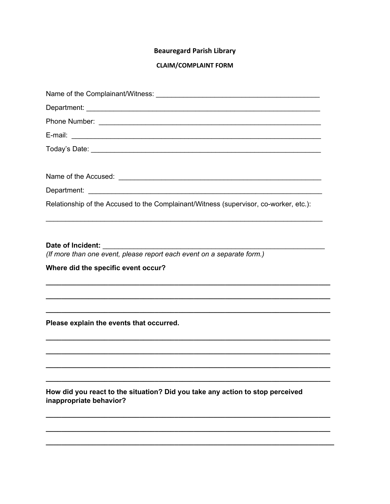## **Beauregard Parish Library**

## **CLAIM/COMPLAINT FORM**

| Relationship of the Accused to the Complainant/Witness (supervisor, co-worker, etc.):                    |
|----------------------------------------------------------------------------------------------------------|
|                                                                                                          |
| Date of Incident: _______                                                                                |
| (If more than one event, please report each event on a separate form.)                                   |
| Where did the specific event occur?                                                                      |
|                                                                                                          |
|                                                                                                          |
|                                                                                                          |
| Please explain the events that occurred.                                                                 |
|                                                                                                          |
|                                                                                                          |
|                                                                                                          |
|                                                                                                          |
| How did you react to the situation? Did you take any action to stop perceived<br>inappropriate behavior? |
|                                                                                                          |